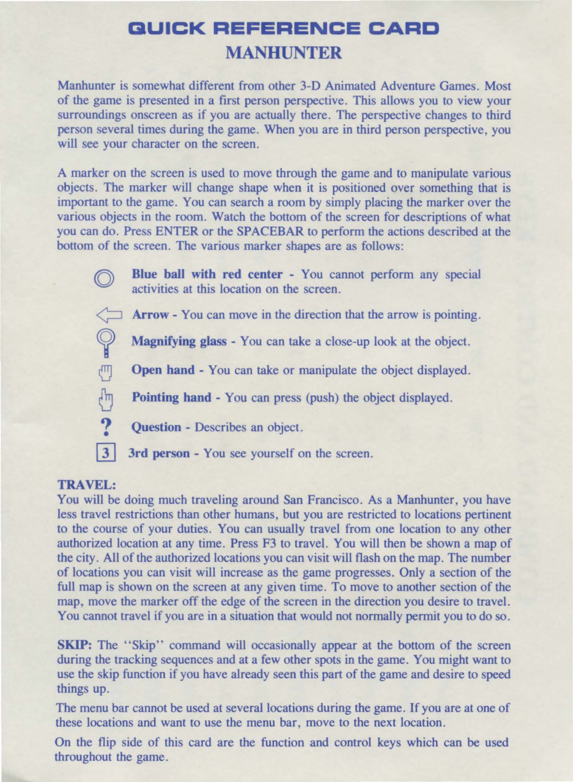## **BUICK REFERENCE CARD MANHUNTER**

Manhunter is somewhat different from other 3-D Animated Adventure Games. Most of the game is presented in a first person perspective. This allows you to view your surroundings onscreen as if you are actually there. The perspective changes to third person several times during the game. When you are in third person perspective, you will see your character on the screen.

A marker on the screen is used to move through the game and to manipulate various objects. The marker will change shape when it is positioned over something that is important to the game. You can search a room by simply placing the marker over the various objects in the room. Watch the bottom of the screen for descriptions of what you can do. Press ENTER or the SPACEBAR to perform the actions described at the bottom of the screen. The various marker shapes are as follows:

> Blue ball with red center - You cannot perform any special activities at this location on the screen.

> Arrow - You can move in the direction that the arrow is pointing.

 $\mathbb{Q}$ Magnifying glass - You can take a close-up look at the object.

 $\overline{\mathbb{C}}$ Open hand - You can take or manipulate the object displayed.

Pointing hand - You can press (push) the object displayed.

Question - Describes an object.

 $\vert 3 \vert$ 3rd person - You see yourself on the screen.

## TRAVEL:

 $\sqrt[3]{2}$  $\overline{?}$ 

You will be doing much traveling around San Francisco. As a Manhunter, you have less travel restrictions than other humans, but you are restricted to locations pertinent to the course of your duties. You can usually travel from one location to any other authorized location at any time. Press F3 to travel. You will then be shown a map of the city. All of the authorized locations you can visit will flash on the map. The number of locations you can visit will increase as the game progresses. Only a section of the full map is shown on the screen at any given time. To move to another section of the map, move the marker off the edge of the screen in the direction you desire to travel. You cannot travel if you are in a situation that would not normally permit you to do so.

SKIP: The "Skip" command will occasionally appear at the bottom of the screen during the tracking sequences and at a few other spots in the game. You might want to use the skip function if you have already seen this part of the game and desire to speed things up.

The menu bar cannot be used at several locations during the game. If you are at one of these locations and want to use the menu bar, move to the next location.

On the flip side of this card are the function and control keys which can be used throughout the game.